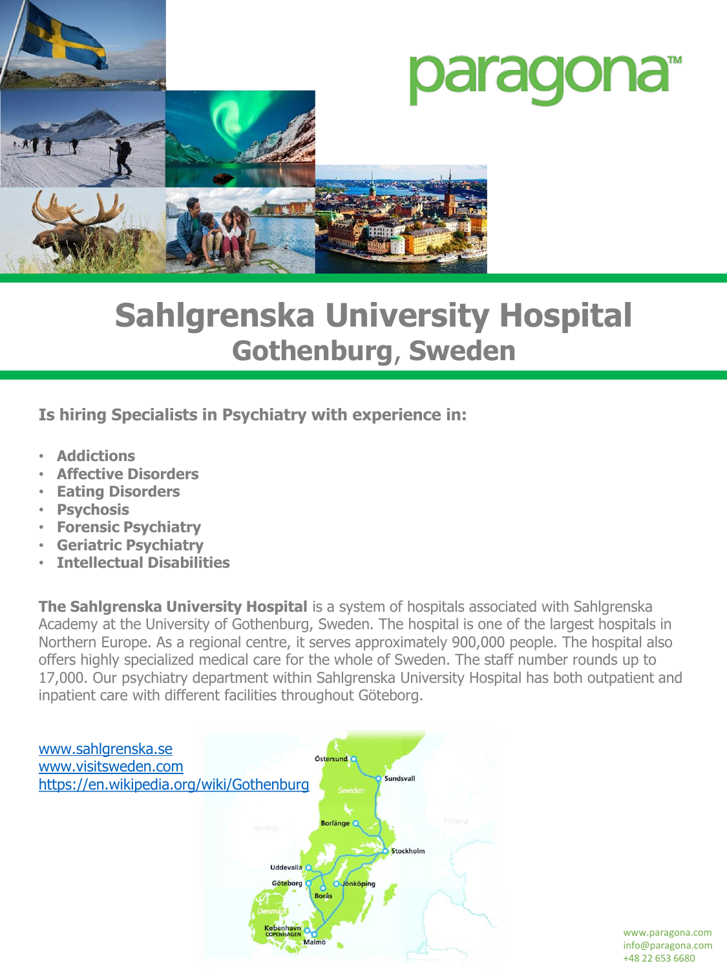

# **Sahlgrenska University Hospital Gothenburg**, **Sweden**

**Is hiring Specialists in Psychiatry with experience in:**

- **Addictions**
- **Affective Disorders**
- **Eating Disorders**
- **Psychosis**
- **Forensic Psychiatry**
- **Geriatric Psychiatry**
- **Intellectual Disabilities**

**The Sahlgrenska University Hospital** is a system of hospitals associated with Sahlgrenska Academy at the University of Gothenburg, Sweden. The hospital is one of the largest hospitals in Northern Europe. As a regional centre, it serves approximately 900,000 people. The hospital also offers highly specialized medical care for the whole of Sweden. The staff number rounds up to 17,000. Our psychiatry department within Sahlgrenska University Hospital has both outpatient and inpatient care with different facilities throughout Göteborg.



www.paragona.com info@paragona.com +48 22 653 6680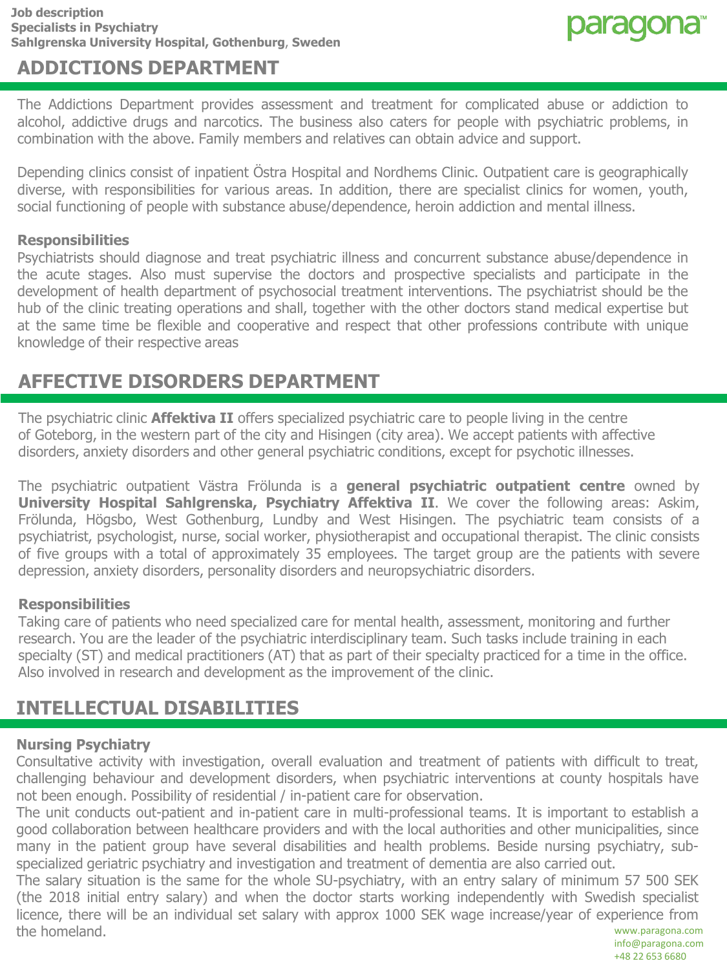

## **ADDICTIONS DEPARTMENT**

The Addictions Department provides assessment and treatment for complicated abuse or addiction to alcohol, addictive drugs and narcotics. The business also caters for people with psychiatric problems, in combination with the above. Family members and relatives can obtain advice and support.

Depending clinics consist of inpatient Östra Hospital and Nordhems Clinic. Outpatient care is geographically diverse, with responsibilities for various areas. In addition, there are specialist clinics for women, youth, social functioning of people with substance abuse/dependence, heroin addiction and mental illness.

#### **Responsibilities**

Psychiatrists should diagnose and treat psychiatric illness and concurrent substance abuse/dependence in the acute stages. Also must supervise the doctors and prospective specialists and participate in the development of health department of psychosocial treatment interventions. The psychiatrist should be the hub of the clinic treating operations and shall, together with the other doctors stand medical expertise but at the same time be flexible and cooperative and respect that other professions contribute with unique knowledge of their respective areas

## **AFFECTIVE DISORDERS DEPARTMENT**

The psychiatric clinic **Affektiva II** offers specialized psychiatric care to people living in the centre of Goteborg, in the western part of the city and Hisingen (city area). We accept patients with affective disorders, anxiety disorders and other general psychiatric conditions, except for psychotic illnesses.

The psychiatric outpatient Västra Frölunda is a **general psychiatric outpatient centre** owned by **University Hospital Sahlgrenska, Psychiatry Affektiva II**. We cover the following areas: Askim, Frölunda, Högsbo, West Gothenburg, Lundby and West Hisingen. The psychiatric team consists of a psychiatrist, psychologist, nurse, social worker, physiotherapist and occupational therapist. The clinic consists of five groups with a total of approximately 35 employees. The target group are the patients with severe depression, anxiety disorders, personality disorders and neuropsychiatric disorders.

#### **Responsibilities**

Taking care of patients who need specialized care for mental health, assessment, monitoring and further research. You are the leader of the psychiatric interdisciplinary team. Such tasks include training in each specialty (ST) and medical practitioners (AT) that as part of their specialty practiced for a time in the office. Also involved in research and development as the improvement of the clinic.

## **INTELLECTUAL DISABILITIES**

#### **Nursing Psychiatry**

Consultative activity with investigation, overall evaluation and treatment of patients with difficult to treat, challenging behaviour and development disorders, when psychiatric interventions at county hospitals have not been enough. Possibility of residential / in-patient care for observation.

The unit conducts out-patient and in-patient care in multi-professional teams. It is important to establish a good collaboration between healthcare providers and with the local authorities and other municipalities, since many in the patient group have several disabilities and health problems. Beside nursing psychiatry, subspecialized geriatric psychiatry and investigation and treatment of dementia are also carried out.

The salary situation is the same for the whole SU-psychiatry, with an entry salary of minimum 57 500 SEK (the 2018 initial entry salary) and when the doctor starts working independently with Swedish specialist licence, there will be an individual set salary with approx 1000 SEK wage increase/year of experience from the homeland. www.paragona.com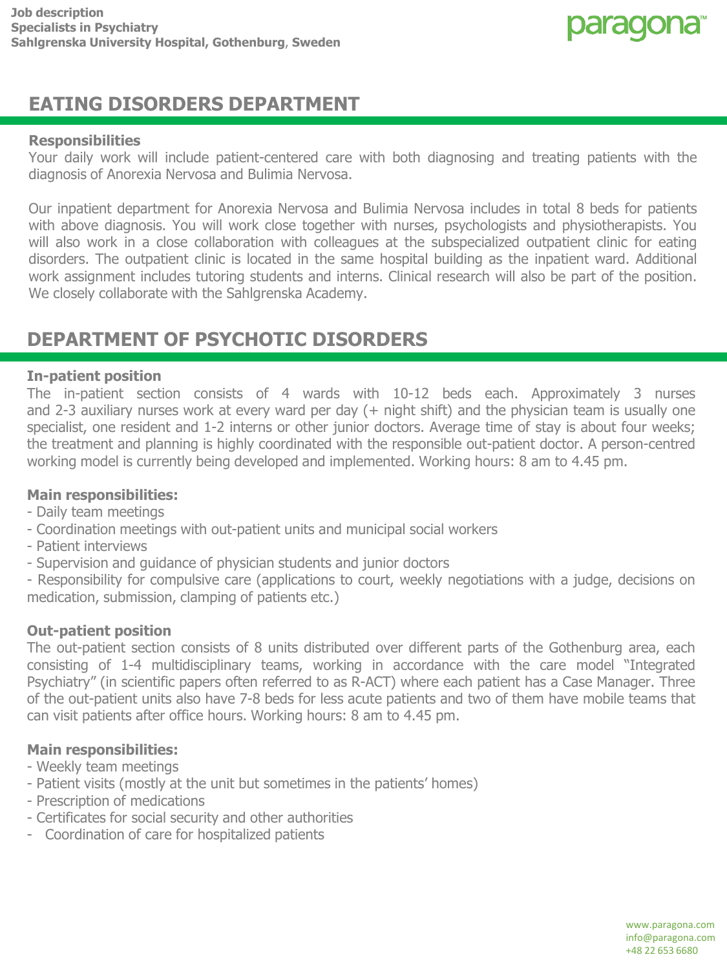

## **EATING DISORDERS DEPARTMENT**

#### **Responsibilities**

Your daily work will include patient-centered care with both diagnosing and treating patients with the diagnosis of Anorexia Nervosa and Bulimia Nervosa.

Our inpatient department for Anorexia Nervosa and Bulimia Nervosa includes in total 8 beds for patients with above diagnosis. You will work close together with nurses, psychologists and physiotherapists. You will also work in a close collaboration with colleagues at the subspecialized outpatient clinic for eating disorders. The outpatient clinic is located in the same hospital building as the inpatient ward. Additional work assignment includes tutoring students and interns. Clinical research will also be part of the position. We closely collaborate with the Sahlgrenska Academy.

### **DEPARTMENT OF PSYCHOTIC DISORDERS**

#### **In-patient position**

The in-patient section consists of 4 wards with 10-12 beds each. Approximately 3 nurses and 2-3 auxiliary nurses work at every ward per day (+ night shift) and the physician team is usually one specialist, one resident and 1-2 interns or other junior doctors. Average time of stay is about four weeks; the treatment and planning is highly coordinated with the responsible out-patient doctor. A person-centred working model is currently being developed and implemented. Working hours: 8 am to 4.45 pm.

#### **Main responsibilities:**

- Daily team meetings
- Coordination meetings with out-patient units and municipal social workers
- Patient interviews
- Supervision and guidance of physician students and junior doctors

- Responsibility for compulsive care (applications to court, weekly negotiations with a judge, decisions on medication, submission, clamping of patients etc.)

#### **Out-patient position**

The out-patient section consists of 8 units distributed over different parts of the Gothenburg area, each consisting of 1-4 multidisciplinary teams, working in accordance with the care model "Integrated Psychiatry" (in scientific papers often referred to as R-ACT) where each patient has a Case Manager. Three of the out-patient units also have 7-8 beds for less acute patients and two of them have mobile teams that can visit patients after office hours. Working hours: 8 am to 4.45 pm.

#### **Main responsibilities:**

- Weekly team meetings
- Patient visits (mostly at the unit but sometimes in the patients' homes)
- Prescription of medications
- Certificates for social security and other authorities
- Coordination of care for hospitalized patients